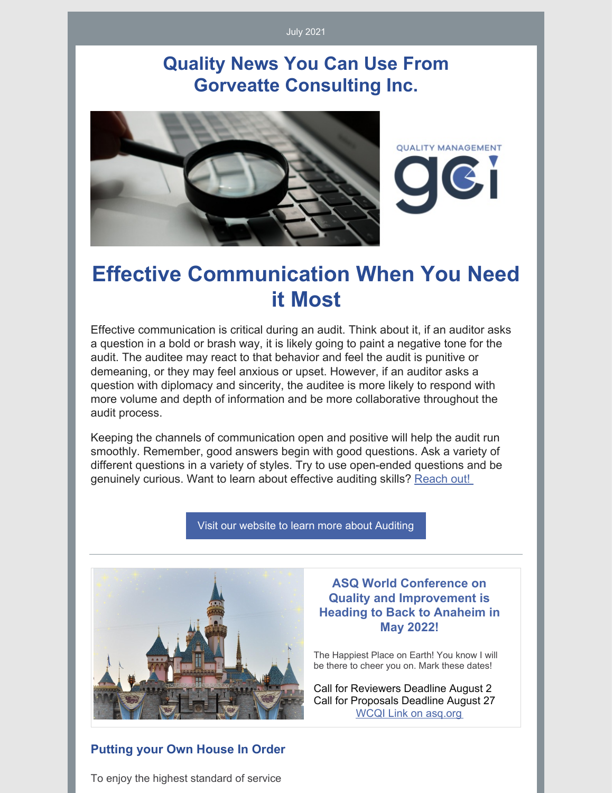#### July 2021

## **Quality News You Can Use From Gorveatte Consulting Inc.**



## **Effective Communication When You Need it Most**

Effective communication is critical during an audit. Think about it, if an auditor asks a question in a bold or brash way, it is likely going to paint a negative tone for the audit. The auditee may react to that behavior and feel the audit is punitive or demeaning, or they may feel anxious or upset. However, if an auditor asks a question with diplomacy and sincerity, the auditee is more likely to respond with more volume and depth of information and be more collaborative throughout the audit process.

Keeping the channels of communication open and positive will help the audit run smoothly. Remember, good answers begin with good questions. Ask a variety of different questions in a variety of styles. Try to use open-ended questions and be genuinely curious. Want to learn about effective auditing skills? [Reach](https://www.gorveatteconsulting.com/contact.html) out!

Visit our website to learn more about [Auditing](http://www.gorveatteconsulting.com)



#### **ASQ World Conference on Quality and Improvement is Heading to Back to Anaheim in May 2022!**

The Happiest Place on Earth! You know I will be there to cheer you on. Mark these dates!

Call for Reviewers Deadline August 2 Call for Proposals Deadline August 27 WCQI Link on [asq.org](https://asq.org/conferences/wcqi)

#### **Putting your Own House In Order**

To enjoy the highest standard of service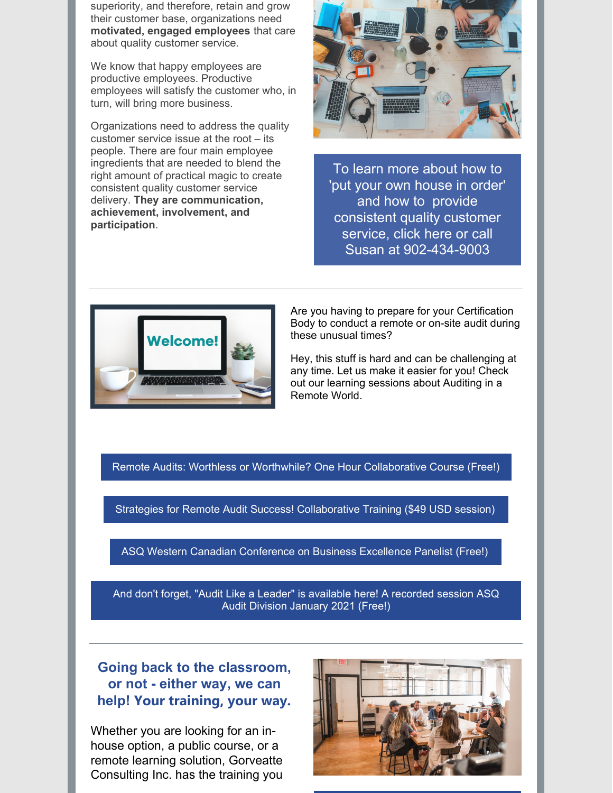superiority, and therefore, retain and grow their customer base, organizations need **motivated, engaged employees** that care about quality customer service.

We know that happy employees are productive employees. Productive employees will satisfy the customer who, in turn, will bring more business.

Organizations need to address the quality customer service issue at the root – its people. There are four main employee ingredients that are needed to blend the right amount of practical magic to create consistent quality customer service delivery. **They are communication, achievement, involvement, and participation**.



To learn more about how to 'put your own house in order' and how to provide consistent quality customer service, click here or call Susan at [902-434-9003](mailto:susan@gorveatteconsulting.com)



Are you having to prepare for your Certification Body to conduct a remote or on-site audit during these unusual times?

Hey, this stuff is hard and can be challenging at any time. Let us make it easier for you! Check out our learning sessions about Auditing in a Remote World.

Remote Audits: Worthless or Worthwhile? One Hour [Collaborative](https://www.innovationtrainer.com/a/45725/eSzfFR6p) Course (Free!)

Strategies for Remote Audit Success! [Collaborative](https://www.innovationtrainer.com/a/45481/eSzfFR6p) Training (\$49 USD session)

ASQ Western Canadian [Conference](https://www.youtube.com/watch?v=qfkPxVN5khA&t=751s) on Business Excellence Panelist (Free!)

And don't forget, "Audit Like a Leader" is [available](https://attendee.gotowebinar.com/recording/5889078149471724555) here! A recorded session ASQ Audit Division January 2021 (Free!)

### **Going back to the classroom, or not - either way, we can help! Your training, your way.**

Whether you are looking for an inhouse option, a public course, or a remote learning solution, Gorveatte Consulting Inc. has the training you